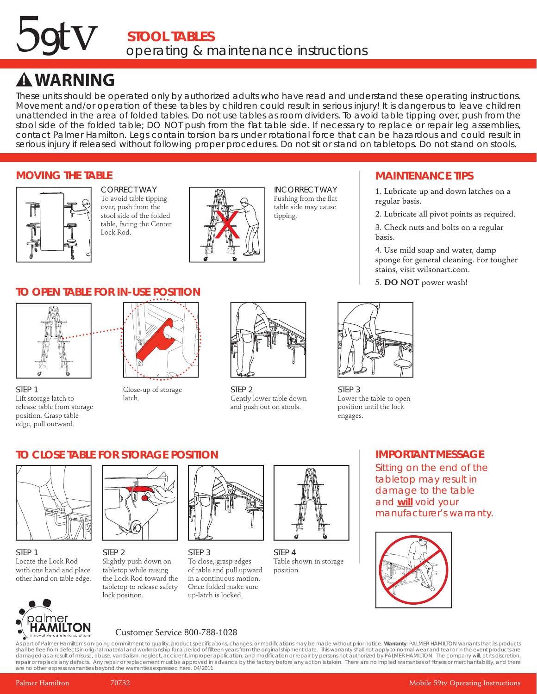# **STOOL TABLES** 59tv *operating & maintenance instructions*

## **! WARNING**

These units should be operated only by authorized adults who have read and understand these operating instructions. Movement and/or operation of these tables by children could result in serious injury! It is dangerous to leave children unattended in the area of folded tables. Do not use tables as room dividers. To avoid table tipping over, push from the stool side of the folded table; DO NOT push from the flat table side. If necessary to replace or repair leg assemblies, contact Palmer Hamilton. Legs contain torsion bars under rotational force that can be hazardous and could result in serious injury if released without following proper procedures. Do not sit or stand on tabletops. Do not stand on stools.

### **MOVING THE TABLE**



CORRECT WAY To avoid table tipping over, push from the stool side of the folded table, facing the Center Lock Rod.



INCORRECT WAY Pushing from the flat table side may cause tipping.

## **MAINTENANCE TIPS**

1. Lubricate up and down latches on a regular basis.

2. Lubricate all pivot points as required.

3. Check nuts and bolts on a regular basis.

4. Use mild soap and water, damp sponge for general cleaning. For tougher stains, visit wilsonart.com.

5. **DO NOT** power wash!



**STEP 3** Lower the table to open position until the lock engages.

## **TO OPEN TABLE FOR IN-USE POSITION**



STEP 1 Lift storage latch to release table from storage position. Grasp table edge, pull outward.



Close-up of storage latch.



STEP<sub>2</sub> Gently lower table down and push out on stools.

#### **IMPORTANT MESSAGE**

Sitting on the end of the tabletop may result in damage to the table and **will** void your manufacturer's warranty.



## **TO CLOSE TABLE FOR STORAGE POSITION**



STEP 1 Locate the Lock Rod with one hand and place other hand on table edge.



STEP 2 Slightly push down on tabletop while raising the Lock Rod toward the tabletop to release safety lock position.



STEP 3 To close, grasp edges of table and pull upward in a continuous motion. Once folded make sure up-latch is locked.



STEP 4 Table shown in storage position.



## Customer Service 800-788-1028

As part of Palmer Hamilton's on-going commitment to quality, product specifications, changes, or modifications may be made without prior notice. Warranty: PALMER HAMILTON warrants that its products shall be free from defects in original material and workmanship for a period of fifteen years from the original shipment date. This warranty shall not apply to normal wear and tear or in the event products are<br>damaged as a are no other express warranties beyond the warranties expressed here. 04/2011